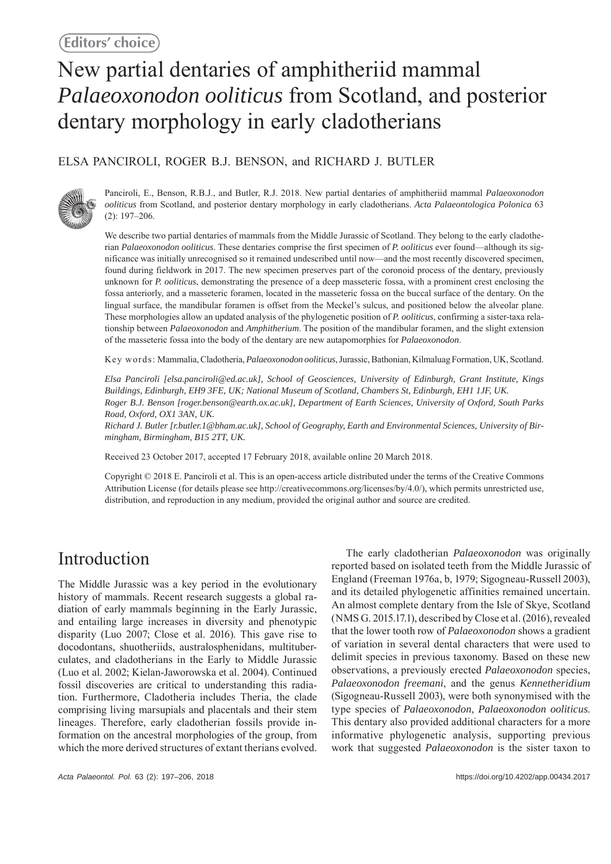# New partial dentaries of amphitheriid mammal *Palaeoxonodon ooliticus* from Scotland, and posterior dentary morphology in early cladotherians

### ELSA PANCIROLI, ROGER B.J. BENSON, and RICHARD J. BUTLER



Panciroli, E., Benson, R.B.J., and Butler, R.J. 2018. New partial dentaries of amphitheriid mammal *Palaeoxonodon ooliticus* from Scotland, and posterior dentary morphology in early cladotherians. *Acta Palaeontologica Polonica* 63 (2): 197–206.

We describe two partial dentaries of mammals from the Middle Jurassic of Scotland. They belong to the early cladotherian *Palaeoxonodon ooliticus*. These dentaries comprise the first specimen of *P. ooliticus* ever found—although its significance was initially unrecognised so it remained undescribed until now—and the most recently discovered specimen, found during fieldwork in 2017. The new specimen preserves part of the coronoid process of the dentary, previously unknown for *P. ooliticus*, demonstrating the presence of a deep masseteric fossa, with a prominent crest enclosing the fossa anteriorly, and a masseteric foramen, located in the masseteric fossa on the buccal surface of the dentary. On the lingual surface, the mandibular foramen is offset from the Meckel's sulcus, and positioned below the alveolar plane. These morphologies allow an updated analysis of the phylogenetic position of *P. ooliticus*, confirming a sister-taxa relationship between *Palaeoxonodon* and *Amphitherium*. The position of the mandibular foramen, and the slight extension of the masseteric fossa into the body of the dentary are new autapomorphies for *Palaeoxonodon*.

Key words: Mammalia, Cladotheria, *Palaeoxonodon ooliticus*, Jurassic, Bathonian, Kilmaluag Formation, UK, Scotland.

*Elsa Panciroli [elsa.panciroli@ed.ac.uk], School of Geosciences, University of Edinburgh, Grant Institute, Kings Buildings, Edinburgh, EH9 3FE, UK; National Museum of Scotland, Chambers St, Edinburgh, EH1 1JF, UK. Roger B.J. Benson [roger.benson@earth.ox.ac.uk], Department of Earth Sciences, University of Oxford, South Parks Road, Oxford, OX1 3AN, UK.*

*Richard J. Butler [r.butler.1@bham.ac.uk], School of Geography, Earth and Environmental Sciences, University of Birmingham, Birmingham, B15 2TT, UK.*

Received 23 October 2017, accepted 17 February 2018, available online 20 March 2018.

Copyright © 2018 E. Panciroli et al. This is an open-access article distributed under the terms of the Creative Commons Attribution License (for details please see http://creativecommons.org/licenses/by/4.0/), which permits unrestricted use, distribution, and reproduction in any medium, provided the original author and source are credited.

## Introduction

The Middle Jurassic was a key period in the evolutionary history of mammals. Recent research suggests a global radiation of early mammals beginning in the Early Jurassic, and entailing large increases in diversity and phenotypic disparity (Luo 2007; Close et al. 2016). This gave rise to docodontans, shuotheriids, australosphenidans, multituberculates, and cladotherians in the Early to Middle Jurassic (Luo et al. 2002; Kielan-Jaworowska et al. 2004). Continued fossil discoveries are critical to understanding this radiation. Furthermore, Cladotheria includes Theria, the clade comprising living marsupials and placentals and their stem lineages. Therefore, early cladotherian fossils provide information on the ancestral morphologies of the group, from which the more derived structures of extant therians evolved.

The early cladotherian *Palaeoxonodon* was originally reported based on isolated teeth from the Middle Jurassic of England (Freeman 1976a, b, 1979; Sigogneau-Russell 2003), and its detailed phylogenetic affinities remained uncertain. An almost complete dentary from the Isle of Skye, Scotland (NMS G. 2015.17.1), described by Close et al. (2016), revealed that the lower tooth row of *Palaeoxonodon* shows a gradient of variation in several dental characters that were used to delimit species in previous taxonomy. Based on these new observations, a previously erected *Palaeoxonodon* species, *Palaeoxonodon freemani*, and the genus *Kennetheridium* (Sigogneau-Russell 2003), were both synonymised with the type species of *Palaeoxonodon*, *Palaeoxonodon ooliticus*. This dentary also provided additional characters for a more informative phylogenetic analysis, supporting previous work that suggested *Palaeoxonodon* is the sister taxon to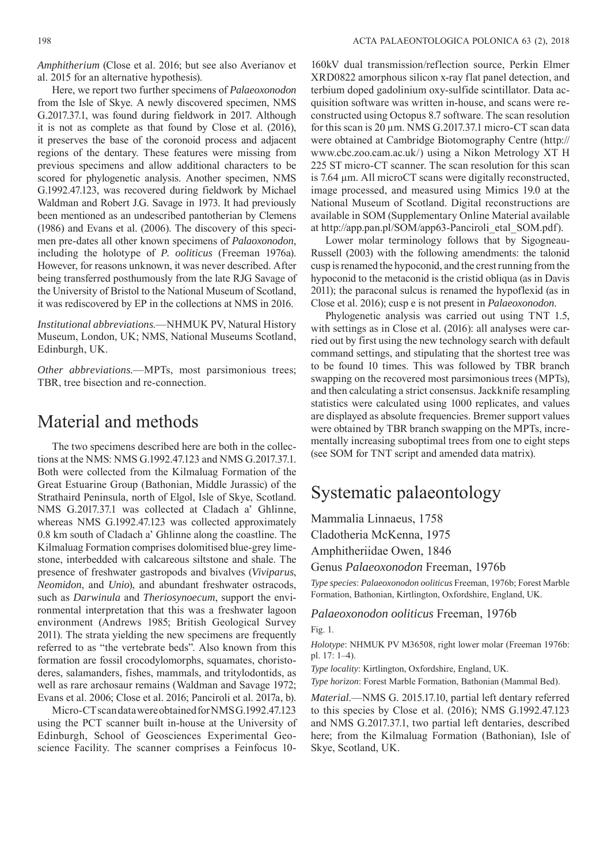*Amphitherium* (Close et al. 2016; but see also Averianov et al. 2015 for an alternative hypothesis).

Here, we report two further specimens of *Palaeoxonodon*  from the Isle of Skye. A newly discovered specimen, NMS G.2017.37.1, was found during fieldwork in 2017. Although it is not as complete as that found by Close et al. (2016), it preserves the base of the coronoid process and adjacent regions of the dentary. These features were missing from previous specimens and allow additional characters to be scored for phylogenetic analysis. Another specimen, NMS G.1992.47.123, was recovered during fieldwork by Michael Waldman and Robert J.G. Savage in 1973. It had previously been mentioned as an undescribed pantotherian by Clemens (1986) and Evans et al. (2006). The discovery of this specimen pre-dates all other known specimens of *Palaoxonodon*, including the holotype of *P. ooliticus* (Freeman 1976a). However, for reasons unknown, it was never described. After being transferred posthumously from the late RJG Savage of the University of Bristol to the National Museum of Scotland, it was rediscovered by EP in the collections at NMS in 2016.

*Institutional abbreviations*.—NHMUK PV, Natural History Museum, London, UK; NMS, National Museums Scotland, Edinburgh, UK.

*Other abbreviations*.—MPTs, most parsimonious trees; TBR, tree bisection and re-connection.

### Material and methods

The two specimens described here are both in the collections at the NMS: NMS G.1992.47.123 and NMS G.2017.37.1. Both were collected from the Kilmaluag Formation of the Great Estuarine Group (Bathonian, Middle Jurassic) of the Strathaird Peninsula, north of Elgol, Isle of Skye, Scotland. NMS G.2017.37.1 was collected at Cladach a' Ghlinne, whereas NMS G.1992.47.123 was collected approximately 0.8 km south of Cladach a' Ghlinne along the coastline. The Kilmaluag Formation comprises dolomitised blue-grey limestone, interbedded with calcareous siltstone and shale. The presence of freshwater gastropods and bivalves (*Viviparus*, *Neomidon*, and *Unio*), and abundant freshwater ostracods, such as *Darwinula* and *Theriosynoecum*, support the environmental interpretation that this was a freshwater lagoon environment (Andrews 1985; British Geological Survey 2011). The strata yielding the new specimens are frequently referred to as "the vertebrate beds". Also known from this formation are fossil crocodylomorphs, squamates, choristoderes, salamanders, fishes, mammals, and tritylodontids, as well as rare archosaur remains (Waldman and Savage 1972; Evans et al. 2006; Close et al. 2016; Panciroli et al. 2017a, b).

Micro-CT scan data were obtained for NMS G.1992.47.123 using the PCT scanner built in-house at the University of Edinburgh, School of Geosciences Experimental Geoscience Facility. The scanner comprises a Feinfocus 10-

160kV dual transmission/reflection source, Perkin Elmer XRD0822 amorphous silicon x-ray flat panel detection, and terbium doped gadolinium oxy-sulfide scintillator. Data acquisition software was written in-house, and scans were reconstructed using Octopus 8.7 software. The scan resolution for this scan is 20 μm. NMS G.2017.37.1 micro-CT scan data were obtained at Cambridge Biotomography Centre (http:// www.cbc.zoo.cam.ac.uk/) using a Nikon Metrology XT H 225 ST micro-CT scanner. The scan resolution for this scan is 7.64 μm. All microCT scans were digitally reconstructed, image processed, and measured using Mimics 19.0 at the National Museum of Scotland. Digital reconstructions are available in SOM (Supplementary Online Material available at http://app.pan.pl/SOM/app63-Panciroli\_etal\_SOM.pdf).

Lower molar terminology follows that by Sigogneau-Russell (2003) with the following amendments: the talonid cusp is renamed the hypoconid, and the crest running from the hypoconid to the metaconid is the cristid obliqua (as in Davis 2011); the paraconal sulcus is renamed the hypoflexid (as in Close et al. 2016); cusp e is not present in *Palaeoxonodon*.

Phylogenetic analysis was carried out using TNT 1.5, with settings as in Close et al. (2016): all analyses were carried out by first using the new technology search with default command settings, and stipulating that the shortest tree was to be found 10 times. This was followed by TBR branch swapping on the recovered most parsimonious trees (MPTs), and then calculating a strict consensus. Jackknife resampling statistics were calculated using 1000 replicates, and values are displayed as absolute frequencies. Bremer support values were obtained by TBR branch swapping on the MPTs, incrementally increasing suboptimal trees from one to eight steps (see SOM for TNT script and amended data matrix).

## Systematic palaeontology

Mammalia Linnaeus, 1758 Cladotheria McKenna, 1975 Amphitheriidae Owen, 1846

Genus *Palaeoxonodon* Freeman, 1976b

*Type species*: *Palaeoxonodon ooliticus* Freeman, 1976b; Forest Marble Formation, Bathonian, Kirtlington, Oxfordshire, England, UK.

### *Palaeoxonodon ooliticus* Freeman, 1976b Fig. 1.

*Holotype*: NHMUK PV M36508, right lower molar (Freeman 1976b: pl. 17: 1–4).

*Type locality*: Kirtlington, Oxfordshire, England, UK.

*Type horizon*: Forest Marble Formation, Bathonian (Mammal Bed).

*Material*.—NMS G. 2015.17.10, partial left dentary referred to this species by Close et al. (2016); NMS G.1992.47.123 and NMS G.2017.37.1, two partial left dentaries, described here; from the Kilmaluag Formation (Bathonian), Isle of Skye, Scotland, UK.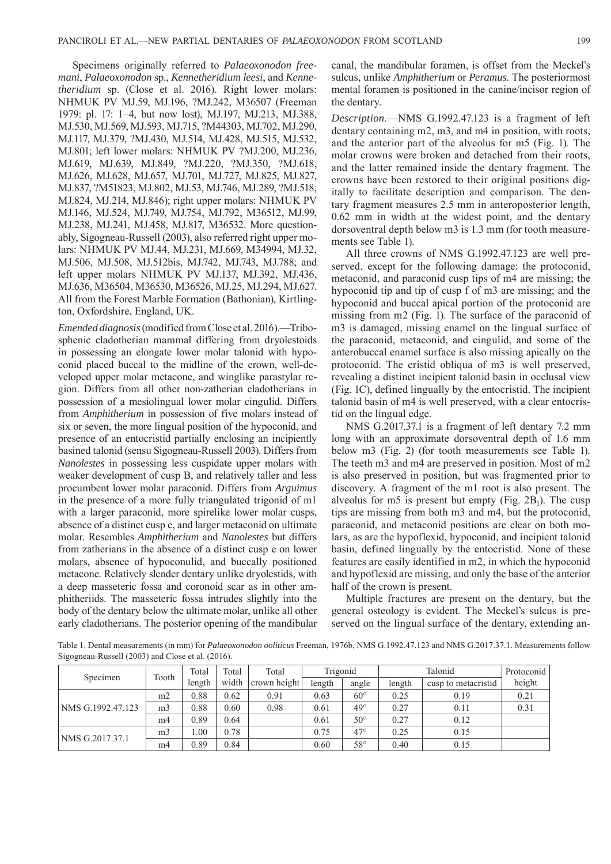Specimens originally referred to *Palaeoxonodon freemani, Palaeoxonodon* sp., *Kennetheridium leesi*, and *Kennetheridium* sp. (Close et al. 2016). Right lower molars: NHMUK PV MJ.59, MJ.196, ?MJ.242, M36507 (Freeman 1979: pl. 17: 1–4, but now lost), MJ.197, MJ.213, MJ.388, MJ.530, MJ.569, MJ.593, MJ.715, ?M44303, MJ.702, MJ.290, MJ.117, MJ.379, ?MJ.430, MJ.514, MJ.428, MJ.515, MJ.532, MJ.801; left lower molars: NHMUK PV ?MJ.200, MJ.236, MJ.619, MJ.639, MJ.849, ?MJ.220, ?MJ.350, ?MJ.618, MJ.626, MJ.628, MJ.657, MJ.701, MJ.727, MJ.825, MJ.827, MJ.837, ?M51823, MJ.802, MJ.53, MJ.746, MJ.289, ?MJ.518, MJ.824, MJ.214, MJ.846); right upper molars: NHMUK PV MJ.146, MJ.524, MJ.749, MJ.754, MJ.792, M36512, MJ.99, MJ.238, MJ.241, MJ.458, MJ.817, M36532. More questionably, Sigogneau-Russell (2003), also referred right upper molars: NHMUK PV MJ.44, MJ.231, MJ.669, M34994, MJ.32, MJ.506, MJ.508, MJ.512bis, MJ.742, MJ.743, MJ.788; and left upper molars NHMUK PV MJ.137, MJ.392, MJ.436, MJ.636, M36504, M36530, M36526, MJ.25, MJ.294, MJ.627. All from the Forest Marble Formation (Bathonian), Kirtlington, Oxfordshire, England, UK.

*Emended diagnosis* (modified from Close et al. 2016).—Tribosphenic cladotherian mammal differing from dryolestoids in possessing an elongate lower molar talonid with hypoconid placed buccal to the midline of the crown, well-developed upper molar metacone, and winglike parastylar region. Differs from all other non-zatherian cladotherians in possession of a mesiolingual lower molar cingulid. Differs from *Amphitherium* in possession of five molars instead of six or seven, the more lingual position of the hypoconid, and presence of an entocristid partially enclosing an incipiently basined talonid (sensu Sigogneau-Russell 2003). Differs from *Nanolestes* in possessing less cuspidate upper molars with weaker development of cusp B, and relatively taller and less procumbent lower molar paraconid. Differs from *Arguimus* in the presence of a more fully triangulated trigonid of m1 with a larger paraconid, more spirelike lower molar cusps, absence of a distinct cusp e, and larger metaconid on ultimate molar. Resembles *Amphitherium* and *Nanolestes* but differs from zatherians in the absence of a distinct cusp e on lower molars, absence of hypoconulid, and buccally positioned metacone. Relatively slender dentary unlike dryolestids, with a deep masseteric fossa and coronoid scar as in other amphitheriids. The masseteric fossa intrudes slightly into the body of the dentary below the ultimate molar, unlike all other early cladotherians. The posterior opening of the mandibular canal, the mandibular foramen, is offset from the Meckel's sulcus, unlike *Amphitherium* or *Peramus*. The posteriormost mental foramen is positioned in the canine/incisor region of the dentary.

*Description*.—NMS G.1992.47.123 is a fragment of left dentary containing m2, m3, and m4 in position, with roots, and the anterior part of the alveolus for m5 (Fig. 1). The molar crowns were broken and detached from their roots, and the latter remained inside the dentary fragment. The crowns have been restored to their original positions digitally to facilitate description and comparison. The dentary fragment measures 2.5 mm in anteroposterior length, 0.62 mm in width at the widest point, and the dentary dorsoventral depth below m3 is 1.3 mm (for tooth measurements see Table 1).

All three crowns of NMS G.1992.47.123 are well preserved, except for the following damage: the protoconid, metaconid, and paraconid cusp tips of m4 are missing; the hypoconid tip and tip of cusp f of m3 are missing; and the hypoconid and buccal apical portion of the protoconid are missing from m2 (Fig. 1). The surface of the paraconid of m3 is damaged, missing enamel on the lingual surface of the paraconid, metaconid, and cingulid, and some of the anterobuccal enamel surface is also missing apically on the protoconid. The cristid obliqua of m3 is well preserved, revealing a distinct incipient talonid basin in occlusal view (Fig. 1C), defined lingually by the entocristid. The incipient talonid basin of m4 is well preserved, with a clear entocristid on the lingual edge.

NMS G.2017.37.1 is a fragment of left dentary 7.2 mm long with an approximate dorsoventral depth of 1.6 mm below m3 (Fig. 2) (for tooth measurements see Table 1). The teeth m3 and m4 are preserved in position. Most of m2 is also preserved in position, but was fragmented prior to discovery. A fragment of the m1 root is also present. The alveolus for m5 is present but empty (Fig.  $2B_1$ ). The cusp tips are missing from both m3 and m4, but the protoconid, paraconid, and metaconid positions are clear on both molars, as are the hypoflexid, hypoconid, and incipient talonid basin, defined lingually by the entocristid. None of these features are easily identified in m2, in which the hypoconid and hypoflexid are missing, and only the base of the anterior half of the crown is present.

Multiple fractures are present on the dentary, but the general osteology is evident. The Meckel's sulcus is preserved on the lingual surface of the dentary, extending an-

Table 1. Dental measurements (in mm) for *Palaeoxonodon ooliticus* Freeman, 1976b, NMS G.1992.47.123 and NMS G.2017.37.1. Measurements follow Sigogneau-Russell (2003) and Close et al. (2016).

| Specimen          | Tooth          | Total  | Total | Total        | Trigonid |              | Talonid |                     | Protoconid |
|-------------------|----------------|--------|-------|--------------|----------|--------------|---------|---------------------|------------|
|                   |                | length | width | crown height | length   | angle        | length  | cusp to metacristid | height     |
| NMS G.1992.47.123 | m2             | 0.88   | 0.62  | 0.91         | 0.63     | $60^{\circ}$ | 0.25    | 0.19                | 0.21       |
|                   | m <sub>3</sub> | 0.88   | 0.60  | 0.98         | 0.61     | $49^\circ$   | 0.27    | 0.11                | 0.31       |
|                   | m <sub>4</sub> | 0.89   | 0.64  |              | 0.61     | $50^{\circ}$ | 0.27    | 0.12                |            |
| NMS G.2017.37.1   | m <sub>3</sub> | .00    | 0.78  |              | 0.75     | $47^{\circ}$ | 0.25    | 0.15                |            |
|                   | m4             | 0.89   | 0.84  |              | 0.60     | $58^\circ$   | 0.40    | 0.15                |            |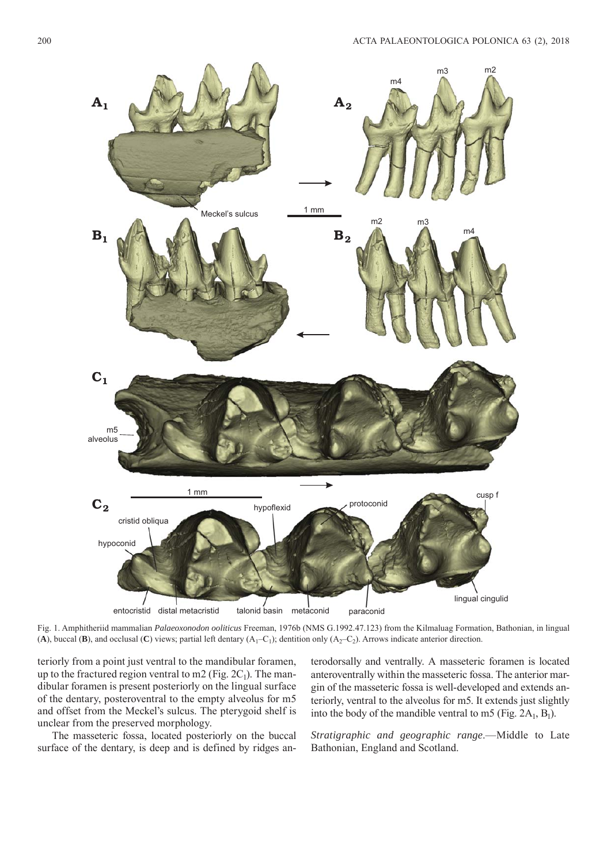

Fig. 1. Amphitheriid mammalian *Palaeoxonodon ooliticus* Freeman, 1976b (NMS G.1992.47.123) from the Kilmaluag Formation, Bathonian, in lingual (A), buccal (B), and occlusal (C) views; partial left dentary  $(A_1-C_1)$ ; dentition only  $(A_2-C_2)$ . Arrows indicate anterior direction.

teriorly from a point just ventral to the mandibular foramen, up to the fractured region ventral to m2 (Fig.  $2C_1$ ). The mandibular foramen is present posteriorly on the lingual surface of the dentary, posteroventral to the empty alveolus for m5 and offset from the Meckel's sulcus. The pterygoid shelf is unclear from the preserved morphology.

The masseteric fossa, located posteriorly on the buccal surface of the dentary, is deep and is defined by ridges anterodorsally and ventrally. A masseteric foramen is located anteroventrally within the masseteric fossa. The anterior margin of the masseteric fossa is well-developed and extends anteriorly, ventral to the alveolus for m5. It extends just slightly into the body of the mandible ventral to m5 (Fig.  $2A_1$ , B<sub>1</sub>).

*Stratigraphic and geographic range*.—Middle to Late Bathonian, England and Scotland.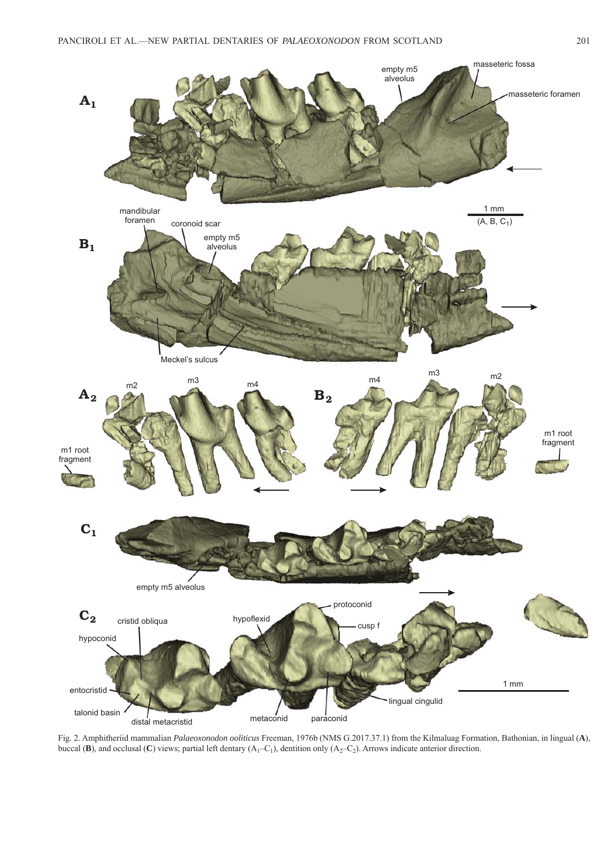

Fig. 2. Amphitheriid mammalian *Palaeoxonodon ooliticus* Freeman, 1976b (NMS G.2017.37.1) from the Kilmaluag Formation, Bathonian, in lingual (**A**), buccal (**B**), and occlusal (**C**) views; partial left dentary  $(A_1 - C_1)$ , dentition only  $(A_2 - C_2)$ . Arrows indicate anterior direction.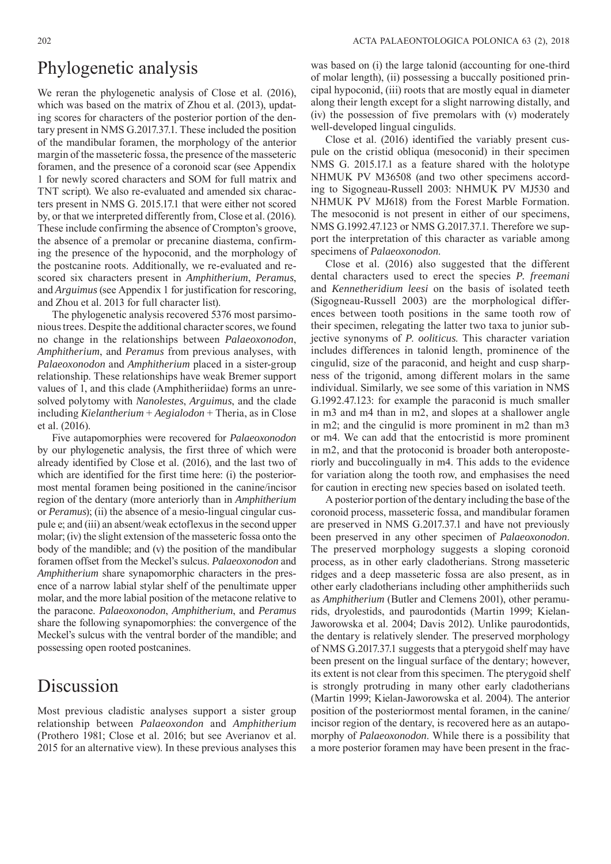### Phylogenetic analysis

We reran the phylogenetic analysis of Close et al. (2016), which was based on the matrix of Zhou et al. (2013), updating scores for characters of the posterior portion of the dentary present in NMS G.2017.37.1. These included the position of the mandibular foramen, the morphology of the anterior margin of the masseteric fossa, the presence of the masseteric foramen, and the presence of a coronoid scar (see Appendix 1 for newly scored characters and SOM for full matrix and TNT script). We also re-evaluated and amended six characters present in NMS G. 2015.17.1 that were either not scored by, or that we interpreted differently from, Close et al. (2016). These include confirming the absence of Crompton's groove, the absence of a premolar or precanine diastema, confirming the presence of the hypoconid, and the morphology of the postcanine roots. Additionally, we re-evaluated and rescored six characters present in *Amphitherium*, *Peramus*, and *Arguimus* (see Appendix 1 for justification for rescoring, and Zhou et al. 2013 for full character list).

The phylogenetic analysis recovered 5376 most parsimonious trees. Despite the additional character scores, we found no change in the relationships between *Palaeoxonodon*, *Amphitherium*, and *Peramus* from previous analyses, with *Palaeoxonodon* and *Amphitherium* placed in a sister-group relationship. These relationships have weak Bremer support values of 1, and this clade (Amphitheriidae) forms an unresolved polytomy with *Nanolestes*, *Arguimus*, and the clade including *Kielantherium* + *Aegialodon* + Theria, as in Close et al. (2016).

Five autapomorphies were recovered for *Palaeoxonodon*  by our phylogenetic analysis, the first three of which were already identified by Close et al. (2016), and the last two of which are identified for the first time here: (i) the posteriormost mental foramen being positioned in the canine/incisor region of the dentary (more anteriorly than in *Amphitherium*  or *Peramus*); (ii) the absence of a mesio-lingual cingular cuspule e; and (iii) an absent/weak ectoflexus in the second upper molar; (iv) the slight extension of the masseteric fossa onto the body of the mandible; and (v) the position of the mandibular foramen offset from the Meckel's sulcus. *Palaeoxonodon* and *Amphitherium* share synapomorphic characters in the presence of a narrow labial stylar shelf of the penultimate upper molar, and the more labial position of the metacone relative to the paracone. *Palaeoxonodon*, *Amphitherium*, and *Peramus*  share the following synapomorphies: the convergence of the Meckel's sulcus with the ventral border of the mandible; and possessing open rooted postcanines.

### Discussion

Most previous cladistic analyses support a sister group relationship between *Palaeoxondon* and *Amphitherium* (Prothero 1981; Close et al. 2016; but see Averianov et al. 2015 for an alternative view). In these previous analyses this

was based on (i) the large talonid (accounting for one-third of molar length), (ii) possessing a buccally positioned principal hypoconid, (iii) roots that are mostly equal in diameter along their length except for a slight narrowing distally, and (iv) the possession of five premolars with (v) moderately well-developed lingual cingulids.

Close et al. (2016) identified the variably present cuspule on the cristid obliqua (mesoconid) in their specimen NMS G. 2015.17.1 as a feature shared with the holotype NHMUK PV M36508 (and two other specimens according to Sigogneau-Russell 2003: NHMUK PV MJ530 and NHMUK PV MJ618) from the Forest Marble Formation. The mesoconid is not present in either of our specimens, NMS G.1992.47.123 or NMS G.2017.37.1. Therefore we support the interpretation of this character as variable among specimens of *Palaeoxonodon*.

Close et al. (2016) also suggested that the different dental characters used to erect the species *P. freemani*  and *Kennetheridium leesi* on the basis of isolated teeth (Sigogneau-Russell 2003) are the morphological differences between tooth positions in the same tooth row of their specimen, relegating the latter two taxa to junior subjective synonyms of *P*. *ooliticus*. This character variation includes differences in talonid length, prominence of the cingulid, size of the paraconid, and height and cusp sharpness of the trigonid, among different molars in the same individual. Similarly, we see some of this variation in NMS G.1992.47.123: for example the paraconid is much smaller in m3 and m4 than in m2, and slopes at a shallower angle in m2; and the cingulid is more prominent in m2 than m3 or m4. We can add that the entocristid is more prominent in m2, and that the protoconid is broader both anteroposteriorly and buccolingually in m4. This adds to the evidence for variation along the tooth row, and emphasises the need for caution in erecting new species based on isolated teeth.

A posterior portion of the dentary including the base of the coronoid process, masseteric fossa, and mandibular foramen are preserved in NMS G.2017.37.1 and have not previously been preserved in any other specimen of *Palaeoxonodon*. The preserved morphology suggests a sloping coronoid process, as in other early cladotherians. Strong masseteric ridges and a deep masseteric fossa are also present, as in other early cladotherians including other amphitheriids such as *Amphitherium* (Butler and Clemens 2001), other peramurids, dryolestids, and paurodontids (Martin 1999; Kielan-Jaworowska et al. 2004; Davis 2012). Unlike paurodontids, the dentary is relatively slender. The preserved morphology of NMS G.2017.37.1 suggests that a pterygoid shelf may have been present on the lingual surface of the dentary; however, its extent is not clear from this specimen. The pterygoid shelf is strongly protruding in many other early cladotherians (Martin 1999; Kielan-Jaworowska et al. 2004). The anterior position of the posteriormost mental foramen, in the canine/ incisor region of the dentary, is recovered here as an autapomorphy of *Palaeoxonodon*. While there is a possibility that a more posterior foramen may have been present in the frac-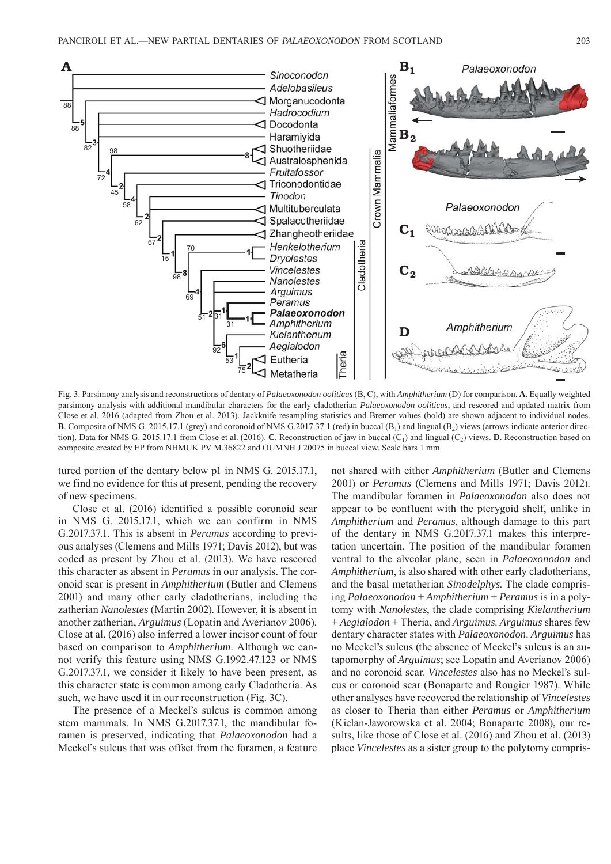

Fig. 3. Parsimony analysis and reconstructions of dentary of *Palaeoxonodon ooliticus* (B, C), with *Amphitherium* (D) for comparison. **A**. Equally weighted parsimony analysis with additional mandibular characters for the early cladotherian *Palaeoxonodon ooliticus*, and rescored and updated matrix from Close et al. 2016 (adapted from Zhou et al. 2013). Jackknife resampling statistics and Bremer values (bold) are shown adjacent to individual nodes. **B**. Composite of NMS G. 2015.17.1 (grey) and coronoid of NMS G. 2017.37.1 (red) in buccal  $(B_1)$  and lingual  $(B_2)$  views (arrows indicate anterior direction). Data for NMS G. 2015.17.1 from Close et al. (2016). **C**. Reconstruction of jaw in buccal  $(C_1)$  and lingual  $(C_2)$  views. **D**. Reconstruction based on composite created by EP from NHMUK PV M.36822 and OUMNH J.20075 in buccal view. Scale bars 1 mm.

tured portion of the dentary below p1 in NMS G. 2015.17.1, we find no evidence for this at present, pending the recovery of new specimens.

Close et al. (2016) identified a possible coronoid scar in NMS G. 2015.17.1, which we can confirm in NMS G.2017.37.1. This is absent in *Peramus* according to previous analyses (Clemens and Mills 1971; Davis 2012), but was coded as present by Zhou et al. (2013). We have rescored this character as absent in *Peramus* in our analysis. The coronoid scar is present in *Amphitherium* (Butler and Clemens 2001) and many other early cladotherians, including the zatherian *Nanolestes* (Martin 2002)*.* However, it is absent in another zatherian, *Arguimus* (Lopatin and Averianov 2006). Close at al. (2016) also inferred a lower incisor count of four based on comparison to *Amphitherium*. Although we cannot verify this feature using NMS G.1992.47.123 or NMS G.2017.37.1, we consider it likely to have been present, as this character state is common among early Cladotheria. As such, we have used it in our reconstruction (Fig. 3C).

The presence of a Meckel's sulcus is common among stem mammals. In NMS G.2017.37.1, the mandibular foramen is preserved, indicating that *Palaeoxonodon* had a Meckel's sulcus that was offset from the foramen, a feature not shared with either *Amphitherium* (Butler and Clemens 2001) or *Peramus* (Clemens and Mills 1971; Davis 2012). The mandibular foramen in *Palaeoxonodon* also does not appear to be confluent with the pterygoid shelf, unlike in *Amphitherium* and *Peramus*, although damage to this part of the dentary in NMS G.2017.37.1 makes this interpretation uncertain. The position of the mandibular foramen ventral to the alveolar plane, seen in *Palaeoxonodon* and *Amphitherium*, is also shared with other early cladotherians, and the basal metatherian *Sinodelphys*. The clade comprising *Palaeoxonodon* + *Amphitherium* + *Peramus* is in a polytomy with *Nanolestes*, the clade comprising *Kielantherium*  + *Aegialodon* + Theria, and *Arguimus*. *Arguimus* shares few dentary character states with *Palaeoxonodon*. *Arguimus* has no Meckel's sulcus (the absence of Meckel's sulcus is an autapomorphy of *Arguimus*; see Lopatin and Averianov 2006) and no coronoid scar. *Vincelestes* also has no Meckel's sulcus or coronoid scar (Bonaparte and Rougier 1987). While other analyses have recovered the relationship of *Vincelestes*  as closer to Theria than either *Peramus* or *Amphitherium*  (Kielan-Jaworowska et al. 2004; Bonaparte 2008), our results, like those of Close et al. (2016) and Zhou et al. (2013) place *Vincelestes* as a sister group to the polytomy compris-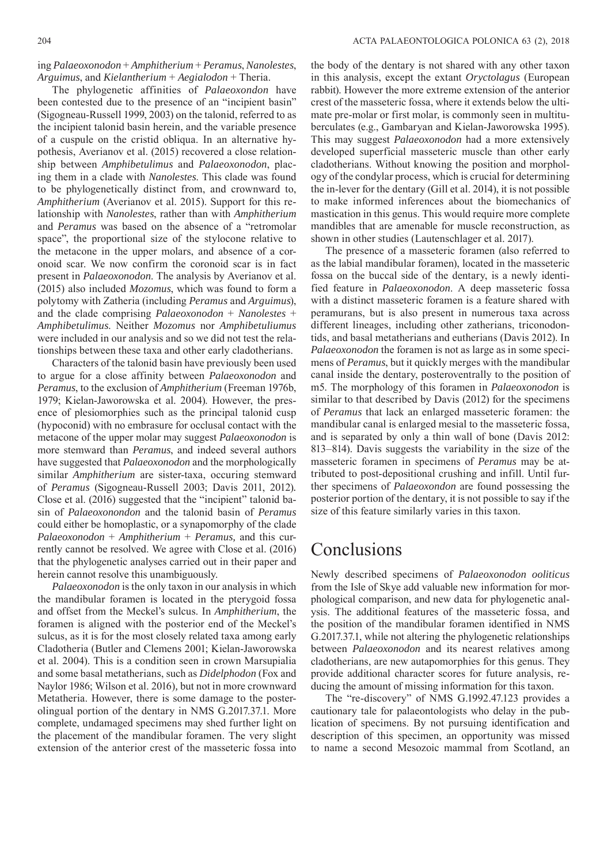ing *Palaeoxonodon* + *Amphitherium* + *Peramus*, *Nanolestes*, *Arguimus*, and *Kielantherium* + *Aegialodon* + Theria.

The phylogenetic affinities of *Palaeoxondon* have been contested due to the presence of an "incipient basin" (Sigogneau-Russell 1999, 2003) on the talonid, referred to as the incipient talonid basin herein, and the variable presence of a cuspule on the cristid obliqua. In an alternative hypothesis, Averianov et al. (2015) recovered a close relationship between *Amphibetulimus* and *Palaeoxonodon*, placing them in a clade with *Nanolestes*. This clade was found to be phylogenetically distinct from, and crownward to, *Amphitherium* (Averianov et al. 2015). Support for this relationship with *Nanolestes*, rather than with *Amphitherium* and *Peramus* was based on the absence of a "retromolar space", the proportional size of the stylocone relative to the metacone in the upper molars, and absence of a coronoid scar. We now confirm the coronoid scar is in fact present in *Palaeoxonodon*. The analysis by Averianov et al. (2015) also included *Mozomus*, which was found to form a polytomy with Zatheria (including *Peramus* and *Arguimus*), and the clade comprising *Palaeoxonodon* + *Nanolestes* + *Amphibetulimus*. Neither *Mozomus* nor *Amphibetuliumus*  were included in our analysis and so we did not test the relationships between these taxa and other early cladotherians.

Characters of the talonid basin have previously been used to argue for a close affinity between *Palaeoxonodon* and *Peramus*, to the exclusion of *Amphitherium* (Freeman 1976b, 1979; Kielan-Jaworowska et al. 2004). However, the presence of plesiomorphies such as the principal talonid cusp (hypoconid) with no embrasure for occlusal contact with the metacone of the upper molar may suggest *Palaeoxonodon* is more stemward than *Peramus*, and indeed several authors have suggested that *Palaeoxonodon* and the morphologically similar *Amphitherium* are sister-taxa, occuring stemward of *Peramus* (Sigogneau-Russell 2003; Davis 2011, 2012)*.* Close et al. (2016) suggested that the "incipient" talonid basin of *Palaeoxonondon* and the talonid basin of *Peramus*  could either be homoplastic, or a synapomorphy of the clade *Palaeoxonodon* + *Amphitherium* + *Peramus,* and this currently cannot be resolved. We agree with Close et al. (2016) that the phylogenetic analyses carried out in their paper and herein cannot resolve this unambiguously.

*Palaeoxonodon* is the only taxon in our analysis in which the mandibular foramen is located in the pterygoid fossa and offset from the Meckel's sulcus. In *Amphitherium*, the foramen is aligned with the posterior end of the Meckel's sulcus, as it is for the most closely related taxa among early Cladotheria (Butler and Clemens 2001; Kielan-Jaworowska et al. 2004). This is a condition seen in crown Marsupialia and some basal metatherians, such as *Didelphodon* (Fox and Naylor 1986; Wilson et al. 2016)*,* but not in more crownward Metatheria. However, there is some damage to the posterolingual portion of the dentary in NMS G.2017.37.1. More complete, undamaged specimens may shed further light on the placement of the mandibular foramen. The very slight extension of the anterior crest of the masseteric fossa into

the body of the dentary is not shared with any other taxon in this analysis, except the extant *Oryctolagus* (European rabbit). However the more extreme extension of the anterior crest of the masseteric fossa, where it extends below the ultimate pre-molar or first molar, is commonly seen in multituberculates (e.g., Gambaryan and Kielan-Jaworowska 1995). This may suggest *Palaeoxonodon* had a more extensively developed superficial masseteric muscle than other early cladotherians. Without knowing the position and morphology of the condylar process, which is crucial for determining the in-lever for the dentary (Gill et al. 2014), it is not possible to make informed inferences about the biomechanics of mastication in this genus. This would require more complete mandibles that are amenable for muscle reconstruction, as shown in other studies (Lautenschlager et al. 2017).

The presence of a masseteric foramen (also referred to as the labial mandibular foramen), located in the masseteric fossa on the buccal side of the dentary, is a newly identified feature in *Palaeoxonodon*. A deep masseteric fossa with a distinct masseteric foramen is a feature shared with peramurans, but is also present in numerous taxa across different lineages, including other zatherians, triconodontids, and basal metatherians and eutherians (Davis 2012). In *Palaeoxonodon* the foramen is not as large as in some specimens of *Peramus*, but it quickly merges with the mandibular canal inside the dentary, posteroventrally to the position of m5. The morphology of this foramen in *Palaeoxonodon* is similar to that described by Davis (2012) for the specimens of *Peramus* that lack an enlarged masseteric foramen: the mandibular canal is enlarged mesial to the masseteric fossa, and is separated by only a thin wall of bone (Davis 2012: 813–814). Davis suggests the variability in the size of the masseteric foramen in specimens of *Peramus* may be attributed to post-depositional crushing and infill. Until further specimens of *Palaeoxondon* are found possessing the posterior portion of the dentary, it is not possible to say if the size of this feature similarly varies in this taxon.

### Conclusions

Newly described specimens of *Palaeoxonodon ooliticus* from the Isle of Skye add valuable new information for morphological comparison, and new data for phylogenetic analysis. The additional features of the masseteric fossa, and the position of the mandibular foramen identified in NMS G.2017.37.1, while not altering the phylogenetic relationships between *Palaeoxonodon* and its nearest relatives among cladotherians, are new autapomorphies for this genus. They provide additional character scores for future analysis, reducing the amount of missing information for this taxon.

The "re-discovery" of NMS G.1992.47.123 provides a cautionary tale for palaeontologists who delay in the publication of specimens. By not pursuing identification and description of this specimen, an opportunity was missed to name a second Mesozoic mammal from Scotland, an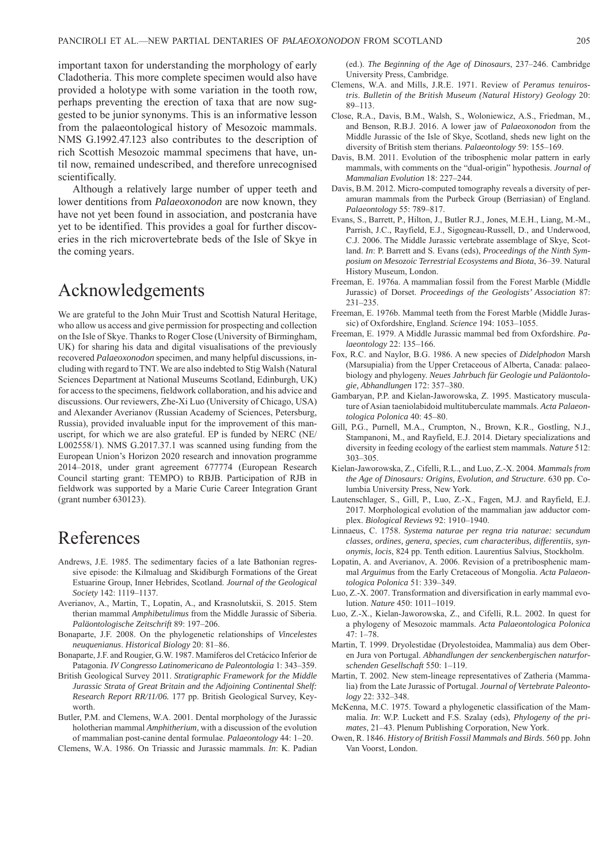important taxon for understanding the morphology of early Cladotheria. This more complete specimen would also have provided a holotype with some variation in the tooth row, perhaps preventing the erection of taxa that are now suggested to be junior synonyms. This is an informative lesson from the palaeontological history of Mesozoic mammals. NMS G.1992.47.123 also contributes to the description of rich Scottish Mesozoic mammal specimens that have, until now, remained undescribed, and therefore unrecognised scientifically.

Although a relatively large number of upper teeth and lower dentitions from *Palaeoxonodon* are now known, they have not yet been found in association, and postcrania have yet to be identified. This provides a goal for further discoveries in the rich microvertebrate beds of the Isle of Skye in the coming years.

# Acknowledgements

We are grateful to the John Muir Trust and Scottish Natural Heritage, who allow us access and give permission for prospecting and collection on the Isle of Skye. Thanks to Roger Close (University of Birmingham, UK) for sharing his data and digital visualisations of the previously recovered *Palaeoxonodon* specimen, and many helpful discussions, including with regard to TNT. We are also indebted to Stig Walsh (Natural Sciences Department at National Museums Scotland, Edinburgh, UK) for access to the specimens, fieldwork collaboration, and his advice and discussions. Our reviewers, Zhe-Xi Luo (University of Chicago, USA) and Alexander Averianov (Russian Academy of Sciences, Petersburg, Russia), provided invaluable input for the improvement of this manuscript, for which we are also grateful. EP is funded by NERC (NE/ L002558/1). NMS G.2017.37.1 was scanned using funding from the European Union's Horizon 2020 research and innovation programme 2014–2018, under grant agreement 677774 (European Research Council starting grant: TEMPO) to RBJB. Participation of RJB in fieldwork was supported by a Marie Curie Career Integration Grant (grant number 630123).

## References

- Andrews, J.E. 1985. The sedimentary facies of a late Bathonian regressive episode: the Kilmaluag and Skidiburgh Formations of the Great Estuarine Group, Inner Hebrides, Scotland. *Journal of the Geological Society* 142: 1119–1137.
- Averianov, A., Martin, T., Lopatin, A., and Krasnolutskii, S. 2015. Stem therian mammal *Amphibetulimus* from the Middle Jurassic of Siberia. *Paläontologische Zeitschrift* 89: 197–206.
- Bonaparte, J.F. 2008. On the phylogenetic relationships of *Vincelestes neuquenianus*. *Historical Biology* 20: 81–86.
- Bonaparte, J.F. and Rougier, G.W. 1987. Mamíferos del Cretácico Inferior de Patagonia. *IV Congresso Latinomericano de Paleontologia* 1: 343–359.
- British Geological Survey 2011. *Stratigraphic Framework for the Middle Jurassic Strata of Great Britain and the Adjoining Continental Shelf: Research Report RR/11/06.* 177 pp. British Geological Survey, Keyworth.
- Butler, P.M. and Clemens, W.A. 2001. Dental morphology of the Jurassic holotherian mammal *Amphitherium*, with a discussion of the evolution of mammalian post-canine dental formulae. *Palaeontology* 44: 1–20.

Clemens, W.A. 1986. On Triassic and Jurassic mammals. *In*: K. Padian

(ed.). *The Beginning of the Age of Dinosaurs*, 237–246. Cambridge University Press, Cambridge.

- Clemens, W.A. and Mills, J.R.E. 1971. Review of *Peramus tenuirostris*. *Bulletin of the British Museum (Natural History) Geology* 20: 89–113.
- Close, R.A., Davis, B.M., Walsh, S., Woloniewicz, A.S., Friedman, M., and Benson, R.B.J. 2016. A lower jaw of *Palaeoxonodon* from the Middle Jurassic of the Isle of Skye, Scotland, sheds new light on the diversity of British stem therians. *Palaeontology* 59: 155–169.
- Davis, B.M. 2011. Evolution of the tribosphenic molar pattern in early mammals, with comments on the "dual-origin" hypothesis. *Journal of Mammalian Evolution* 18: 227–244.
- Davis, B.M. 2012. Micro-computed tomography reveals a diversity of peramuran mammals from the Purbeck Group (Berriasian) of England. *Palaeontology* 55: 789–817.
- Evans, S., Barrett, P., Hilton, J., Butler R.J., Jones, M.E.H., Liang, M.-M., Parrish, J.C., Rayfield, E.J., Sigogneau-Russell, D., and Underwood, C.J. 2006. The Middle Jurassic vertebrate assemblage of Skye, Scotland. *In*: P. Barrett and S. Evans (eds), *Proceedings of the Ninth Symposium on Mesozoic Terrestrial Ecosystems and Biota*, 36–39. Natural History Museum, London.
- Freeman, E. 1976a. A mammalian fossil from the Forest Marble (Middle Jurassic) of Dorset. *Proceedings of the Geologists' Association* 87: 231–235.
- Freeman, E. 1976b. Mammal teeth from the Forest Marble (Middle Jurassic) of Oxfordshire, England. *Science* 194: 1053–1055.
- Freeman, E. 1979. A Middle Jurassic mammal bed from Oxfordshire. *Palaeontology* 22: 135–166.
- Fox, R.C. and Naylor, B.G. 1986. A new species of *Didelphodon* Marsh (Marsupialia) from the Upper Cretaceous of Alberta, Canada: palaeobiology and phylogeny. *Neues Jahrbuch für Geologie und Paläontologie, Abhandlungen* 172: 357–380.
- Gambaryan, P.P. and Kielan-Jaworowska, Z. 1995. Masticatory musculature of Asian taeniolabidoid multituberculate mammals. *Acta Palaeontologica Polonica* 40: 45–80.
- Gill, P.G., Purnell, M.A., Crumpton, N., Brown, K.R., Gostling, N.J., Stampanoni, M., and Rayfield, E.J. 2014. Dietary specializations and diversity in feeding ecology of the earliest stem mammals. *Nature* 512: 303–305.
- Kielan-Jaworowska, Z., Cifelli, R.L., and Luo, Z.-X. 2004. *Mammals from the Age of Dinosaurs: Origins, Evolution, and Structure*. 630 pp. Columbia University Press, New York.
- Lautenschlager, S., Gill, P., Luo, Z.-X., Fagen, M.J. and Rayfield, E.J. 2017. Morphological evolution of the mammalian jaw adductor complex. *Biological Reviews* 92: 1910–1940.
- Linnaeus, C. 1758. *Systema naturae per regna tria naturae: secundum classes, ordines, genera, species, cum characteribus, differentiis, synonymis, locis*, 824 pp. Tenth edition. Laurentius Salvius, Stockholm.
- Lopatin, A. and Averianov, A. 2006. Revision of a pretribosphenic mammal *Arguimus* from the Early Cretaceous of Mongolia. *Acta Palaeontologica Polonica* 51: 339–349.
- Luo, Z.-X. 2007. Transformation and diversification in early mammal evolution. *Nature* 450: 1011–1019.
- Luo, Z.-X., Kielan-Jaworowska, Z., and Cifelli, R.L. 2002. In quest for a phylogeny of Mesozoic mammals. *Acta Palaeontologica Polonica* 47: 1–78.
- Martin, T. 1999. Dryolestidae (Dryolestoidea, Mammalia) aus dem Oberen Jura von Portugal. *Abhandlungen der senckenbergischen naturforschenden Gesellschaft* 550: 1–119.
- Martin, T. 2002. New stem-lineage representatives of Zatheria (Mammalia) from the Late Jurassic of Portugal. *Journal of Vertebrate Paleontology* 22: 332–348.
- McKenna, M.C. 1975. Toward a phylogenetic classification of the Mammalia. *In*: W.P. Luckett and F.S. Szalay (eds), *Phylogeny of the primates*, 21–43. Plenum Publishing Corporation, New York.
- Owen, R. 1846. *History of British Fossil Mammals and Birds*. 560 pp. John Van Voorst, London.